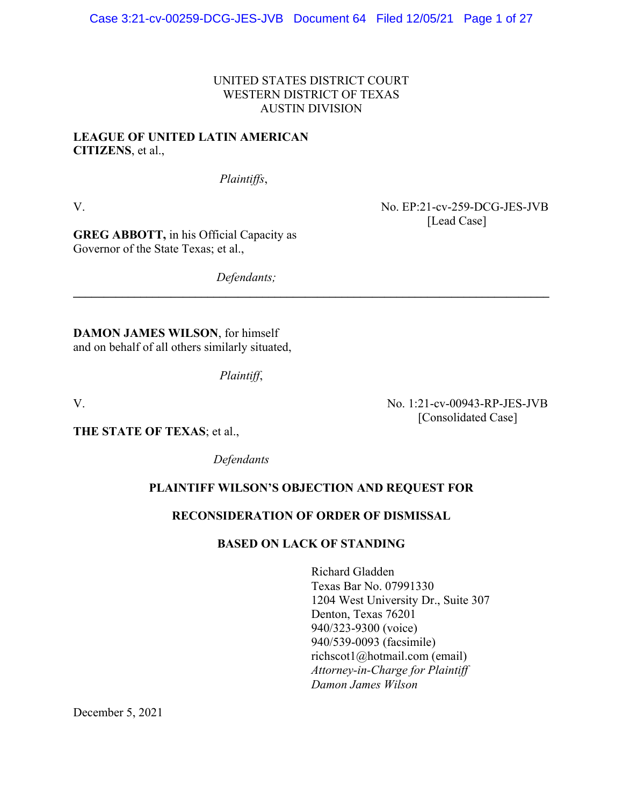# UNITED STATES DISTRICT COURT WESTERN DISTRICT OF TEXAS AUSTIN DIVISION

**\_\_\_\_\_\_\_\_\_\_\_\_\_\_\_\_\_\_\_\_\_\_\_\_\_\_\_\_\_\_\_\_\_\_\_\_\_\_\_\_\_\_\_\_\_\_\_\_\_\_\_\_\_\_\_\_\_\_\_\_\_\_\_\_\_\_\_\_\_\_\_\_\_\_\_\_\_\_** 

# **LEAGUE OF UNITED LATIN AMERICAN CITIZENS**, et al.,

*Plaintiffs*,

V. No. EP:21-cv-259-DCG-JES-JVB [Lead Case]

[Consolidated Case]

**GREG ABBOTT,** in his Official Capacity as Governor of the State Texas; et al.,

*Defendants;* 

**DAMON JAMES WILSON**, for himself and on behalf of all others similarly situated,

*Plaintiff*,

V. No. 1:21-cv-00943-RP-JES-JVB

**THE STATE OF TEXAS**; et al.,

 *Defendants* 

# **PLAINTIFF WILSON'S OBJECTION AND REQUEST FOR**

# **RECONSIDERATION OF ORDER OF DISMISSAL**

# **BASED ON LACK OF STANDING**

Richard Gladden Texas Bar No. 07991330 1204 West University Dr., Suite 307 Denton, Texas 76201 940/323-9300 (voice) 940/539-0093 (facsimile) richscot1@hotmail.com (email) *Attorney-in-Charge for Plaintiff Damon James Wilson* 

December 5, 2021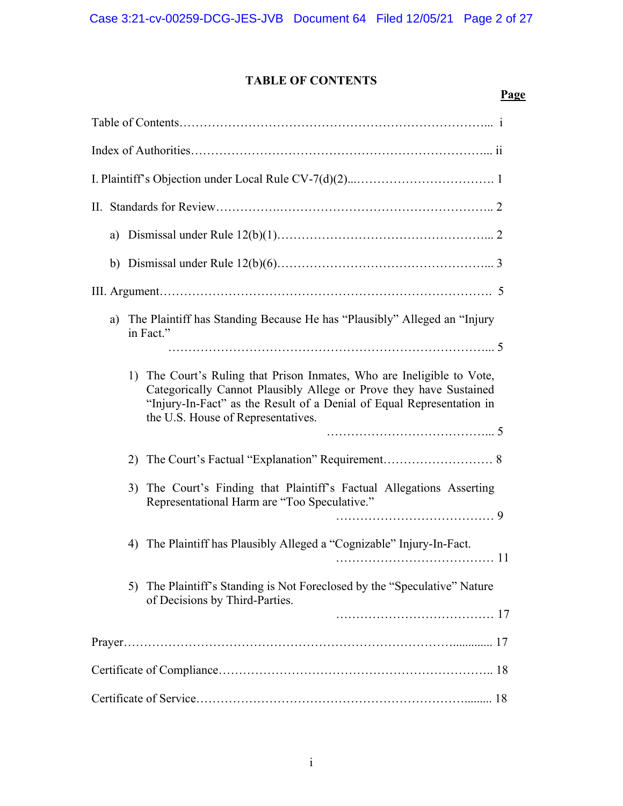# **TABLE OF CONTENTS**

| <b>Page</b>                                                                                                                                                                                                                                                 |
|-------------------------------------------------------------------------------------------------------------------------------------------------------------------------------------------------------------------------------------------------------------|
|                                                                                                                                                                                                                                                             |
|                                                                                                                                                                                                                                                             |
|                                                                                                                                                                                                                                                             |
|                                                                                                                                                                                                                                                             |
| a)                                                                                                                                                                                                                                                          |
|                                                                                                                                                                                                                                                             |
|                                                                                                                                                                                                                                                             |
| The Plaintiff has Standing Because He has "Plausibly" Alleged an "Injury<br>a)<br>in Fact."                                                                                                                                                                 |
| 1) The Court's Ruling that Prison Inmates, Who are Ineligible to Vote,<br>Categorically Cannot Plausibly Allege or Prove they have Sustained<br>"Injury-In-Fact" as the Result of a Denial of Equal Representation in<br>the U.S. House of Representatives. |
|                                                                                                                                                                                                                                                             |
| The Court's Finding that Plaintiff's Factual Allegations Asserting<br>3)<br>Representational Harm are "Too Speculative."                                                                                                                                    |
| 4) The Plaintiff has Plausibly Alleged a "Cognizable" Injury-In-Fact.                                                                                                                                                                                       |
| 5) The Plaintiff's Standing is Not Foreclosed by the "Speculative" Nature<br>of Decisions by Third-Parties.                                                                                                                                                 |
|                                                                                                                                                                                                                                                             |
|                                                                                                                                                                                                                                                             |
|                                                                                                                                                                                                                                                             |
|                                                                                                                                                                                                                                                             |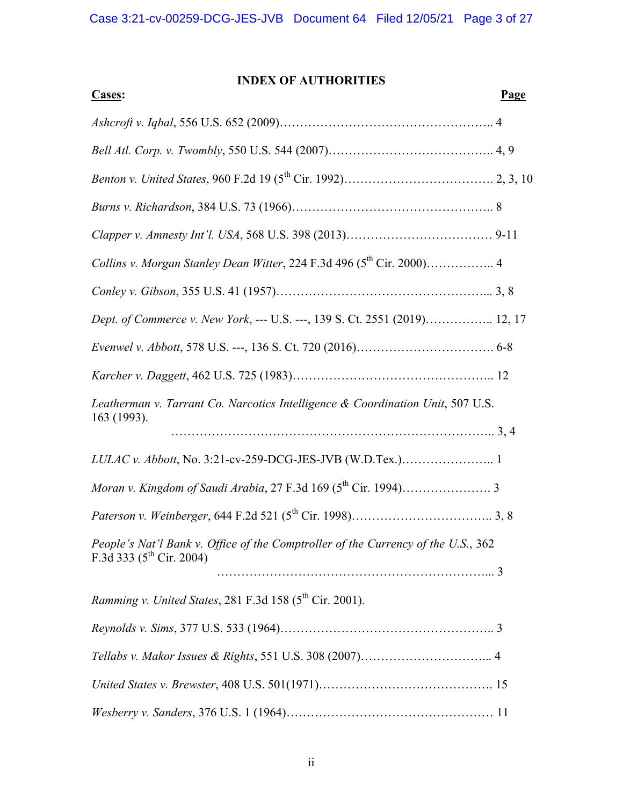# **INDEX OF AUTHORITIES**

| <b>Cases:</b>                                                                     | <b>Page</b> |
|-----------------------------------------------------------------------------------|-------------|
|                                                                                   |             |
|                                                                                   |             |
|                                                                                   |             |
|                                                                                   |             |
|                                                                                   |             |
|                                                                                   |             |
|                                                                                   |             |
| Dept. of Commerce v. New York, --- U.S. ---, 139 S. Ct. 2551 (2019) 12, 17        |             |
|                                                                                   |             |
|                                                                                   |             |
| Leatherman v. Tarrant Co. Narcotics Intelligence & Coordination Unit, 507 U.S.    |             |
| 163 (1993).                                                                       |             |
| LULAC v. Abbott, No. 3:21-cv-259-DCG-JES-JVB (W.D.Tex.) 1                         |             |
|                                                                                   |             |
|                                                                                   |             |
| People's Nat'l Bank v. Office of the Comptroller of the Currency of the U.S., 362 |             |
| F.3d 333 ( $5^{th}$ Cir. 2004)                                                    |             |
| Ramming v. United States, 281 F.3d 158 (5 <sup>th</sup> Cir. 2001).               |             |
|                                                                                   |             |
|                                                                                   |             |
|                                                                                   |             |
|                                                                                   |             |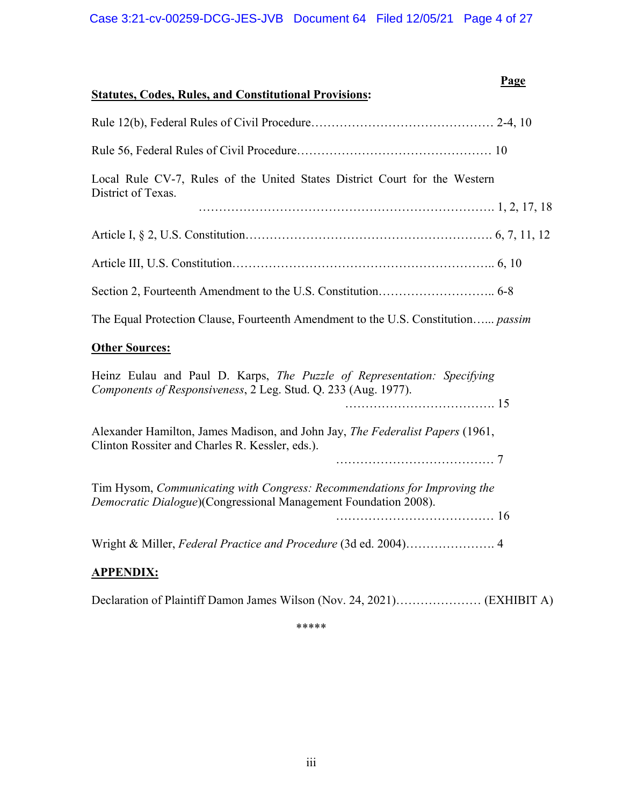| <b>Statutes, Codes, Rules, and Constitutional Provisions:</b>                                                                                | <b>Page</b> |
|----------------------------------------------------------------------------------------------------------------------------------------------|-------------|
|                                                                                                                                              |             |
|                                                                                                                                              |             |
| Local Rule CV-7, Rules of the United States District Court for the Western<br>District of Texas.                                             |             |
|                                                                                                                                              |             |
|                                                                                                                                              |             |
|                                                                                                                                              |             |
|                                                                                                                                              |             |
| The Equal Protection Clause, Fourteenth Amendment to the U.S. Constitution passim                                                            |             |
| <b>Other Sources:</b>                                                                                                                        |             |
| Heinz Eulau and Paul D. Karps, The Puzzle of Representation: Specifying<br>Components of Responsiveness, 2 Leg. Stud. Q. 233 (Aug. 1977).    |             |
|                                                                                                                                              |             |
| Alexander Hamilton, James Madison, and John Jay, The Federalist Papers (1961,<br>Clinton Rossiter and Charles R. Kessler, eds.).             |             |
|                                                                                                                                              |             |
| Tim Hysom, Communicating with Congress: Recommendations for Improving the<br>Democratic Dialogue)(Congressional Management Foundation 2008). |             |
|                                                                                                                                              |             |
|                                                                                                                                              |             |
| <b>APPENDIX:</b>                                                                                                                             |             |
|                                                                                                                                              |             |

|--|--|--|--|--|

\*\*\*\*\*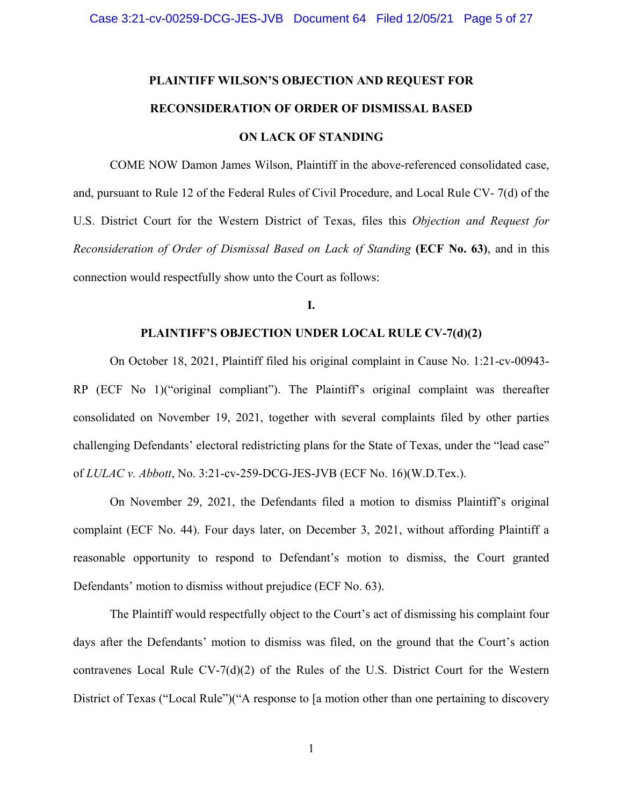# **PLAINTIFF WILSON'S OBJECTION AND REQUEST FOR RECONSIDERATION OF ORDER OF DISMISSAL BASED ON LACK OF STANDING**

COME NOW Damon James Wilson, Plaintiff in the above-referenced consolidated case, and, pursuant to Rule 12 of the Federal Rules of Civil Procedure, and Local Rule CV- 7(d) of the U.S. District Court for the Western District of Texas, files this *Objection and Request for Reconsideration of Order of Dismissal Based on Lack of Standing* **(ECF No. 63)**, and in this connection would respectfully show unto the Court as follows:

### **I.**

### **PLAINTIFF'S OBJECTION UNDER LOCAL RULE CV-7(d)(2)**

On October 18, 2021, Plaintiff filed his original complaint in Cause No. 1:21-cv-00943- RP (ECF No 1)("original compliant"). The Plaintiff's original complaint was thereafter consolidated on November 19, 2021, together with several complaints filed by other parties challenging Defendants' electoral redistricting plans for the State of Texas, under the "lead case" of *LULAC v. Abbott*, No. 3:21-cv-259-DCG-JES-JVB (ECF No. 16)(W.D.Tex.).

On November 29, 2021, the Defendants filed a motion to dismiss Plaintiff's original complaint (ECF No. 44). Four days later, on December 3, 2021, without affording Plaintiff a reasonable opportunity to respond to Defendant's motion to dismiss, the Court granted Defendants' motion to dismiss without prejudice (ECF No. 63).

The Plaintiff would respectfully object to the Court's act of dismissing his complaint four days after the Defendants' motion to dismiss was filed, on the ground that the Court's action contravenes Local Rule  $CV-7(d)(2)$  of the Rules of the U.S. District Court for the Western District of Texas ("Local Rule")("A response to [a motion other than one pertaining to discovery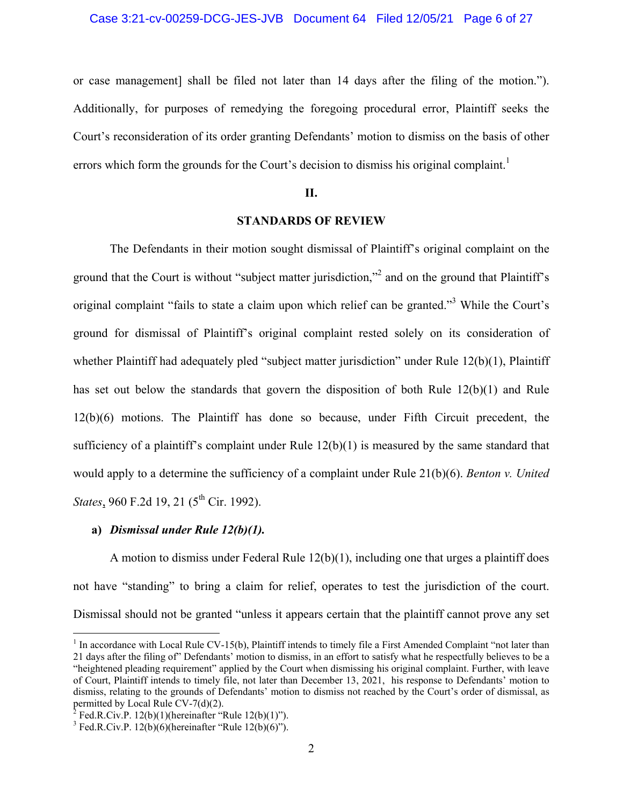or case management] shall be filed not later than 14 days after the filing of the motion."). Additionally, for purposes of remedying the foregoing procedural error, Plaintiff seeks the Court's reconsideration of its order granting Defendants' motion to dismiss on the basis of other errors which form the grounds for the Court's decision to dismiss his original complaint.<sup>1</sup>

### **II.**

### **STANDARDS OF REVIEW**

 The Defendants in their motion sought dismissal of Plaintiff's original complaint on the ground that the Court is without "subject matter jurisdiction,"<sup>2</sup> and on the ground that Plaintiff's original complaint "fails to state a claim upon which relief can be granted."<sup>3</sup> While the Court's ground for dismissal of Plaintiff's original complaint rested solely on its consideration of whether Plaintiff had adequately pled "subject matter jurisdiction" under Rule 12(b)(1), Plaintiff has set out below the standards that govern the disposition of both Rule 12(b)(1) and Rule 12(b)(6) motions. The Plaintiff has done so because, under Fifth Circuit precedent, the sufficiency of a plaintiff's complaint under Rule 12(b)(1) is measured by the same standard that would apply to a determine the sufficiency of a complaint under Rule 21(b)(6). *Benton v. United States*, 960 F.2d 19, 21 (5<sup>th</sup> Cir. 1992).

### **a)** *Dismissal under Rule 12(b)(1).*

A motion to dismiss under Federal Rule  $12(b)(1)$ , including one that urges a plaintiff does not have "standing" to bring a claim for relief, operates to test the jurisdiction of the court. Dismissal should not be granted "unless it appears certain that the plaintiff cannot prove any set

 $\overline{a}$ 

 $1$  In accordance with Local Rule CV-15(b), Plaintiff intends to timely file a First Amended Complaint "not later than 21 days after the filing of" Defendants' motion to dismiss, in an effort to satisfy what he respectfully believes to be a "heightened pleading requirement" applied by the Court when dismissing his original complaint. Further, with leave of Court, Plaintiff intends to timely file, not later than December 13, 2021, his response to Defendants' motion to dismiss, relating to the grounds of Defendants' motion to dismiss not reached by the Court's order of dismissal, as permitted by Local Rule CV-7(d)(2).<br><sup>2</sup> Fed.R.Civ.P. 12(b)(1)(hereinafter "Rule 12(b)(1)").

<sup>&</sup>lt;sup>3</sup> Fed.R.Civ.P. 12(b)(6)(hereinafter "Rule 12(b)(6)").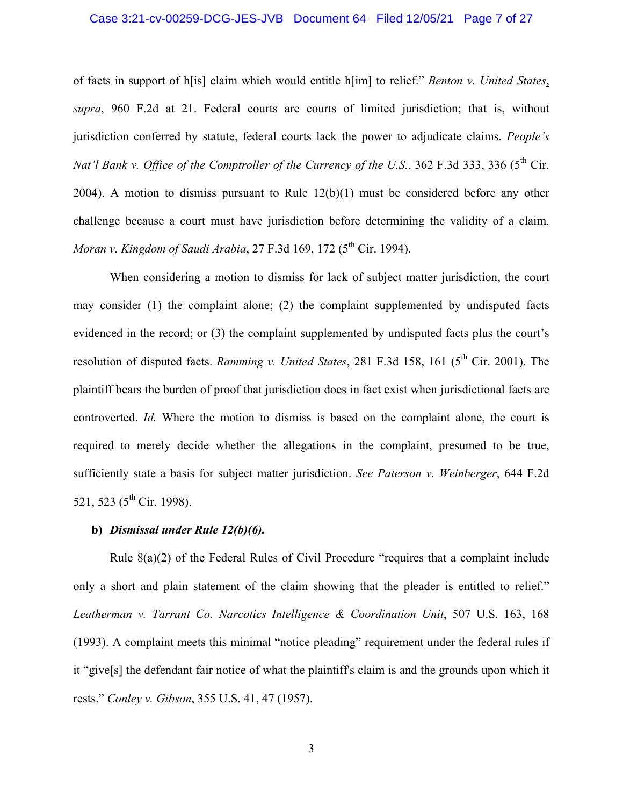### Case 3:21-cv-00259-DCG-JES-JVB Document 64 Filed 12/05/21 Page 7 of 27

of facts in support of h[is] claim which would entitle h[im] to relief." *Benton v. United States*, *supra*, 960 F.2d at 21. Federal courts are courts of limited jurisdiction; that is, without jurisdiction conferred by statute, federal courts lack the power to adjudicate claims. *People's Nat'l Bank v. Office of the Comptroller of the Currency of the U.S.*, 362 F.3d 333, 336 (5<sup>th</sup> Cir. 2004). A motion to dismiss pursuant to Rule 12(b)(1) must be considered before any other challenge because a court must have jurisdiction before determining the validity of a claim. *Moran v. Kingdom of Saudi Arabia, 27 F.3d 169, 172 (5<sup>th</sup> Cir. 1994).* 

When considering a motion to dismiss for lack of subject matter jurisdiction, the court may consider (1) the complaint alone; (2) the complaint supplemented by undisputed facts evidenced in the record; or (3) the complaint supplemented by undisputed facts plus the court's resolution of disputed facts. *Ramming v. United States*, 281 F.3d 158, 161 (5<sup>th</sup> Cir. 2001). The plaintiff bears the burden of proof that jurisdiction does in fact exist when jurisdictional facts are controverted. *Id.* Where the motion to dismiss is based on the complaint alone, the court is required to merely decide whether the allegations in the complaint, presumed to be true, sufficiently state a basis for subject matter jurisdiction. *See Paterson v. Weinberger*, 644 F.2d 521, 523 ( $5^{th}$  Cir. 1998).

### **b)** *Dismissal under Rule 12(b)(6).*

Rule 8(a)(2) of the Federal Rules of Civil Procedure "requires that a complaint include only a short and plain statement of the claim showing that the pleader is entitled to relief." *Leatherman v. Tarrant Co. Narcotics Intelligence & Coordination Unit*, 507 U.S. 163, 168 (1993). A complaint meets this minimal "notice pleading" requirement under the federal rules if it "give[s] the defendant fair notice of what the plaintiff's claim is and the grounds upon which it rests." *Conley v. Gibson*, 355 U.S. 41, 47 (1957).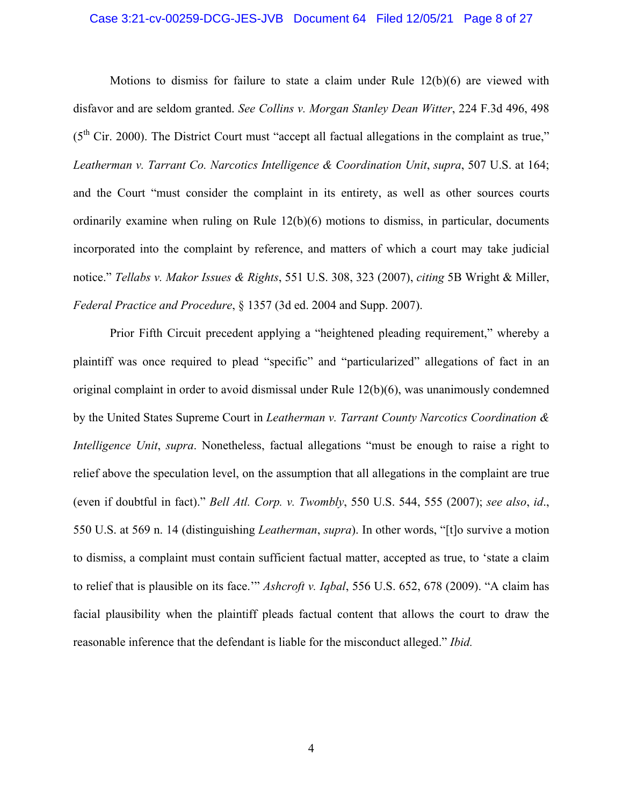### Case 3:21-cv-00259-DCG-JES-JVB Document 64 Filed 12/05/21 Page 8 of 27

Motions to dismiss for failure to state a claim under Rule  $12(b)(6)$  are viewed with disfavor and are seldom granted. *See Collins v. Morgan Stanley Dean Witter*, 224 F.3d 496, 498  $(5<sup>th</sup> Cir. 2000)$ . The District Court must "accept all factual allegations in the complaint as true," *Leatherman v. Tarrant Co. Narcotics Intelligence & Coordination Unit*, *supra*, 507 U.S. at 164; and the Court "must consider the complaint in its entirety, as well as other sources courts ordinarily examine when ruling on Rule 12(b)(6) motions to dismiss, in particular, documents incorporated into the complaint by reference, and matters of which a court may take judicial notice." *Tellabs v. Makor Issues & Rights*, 551 U.S. 308, 323 (2007), *citing* 5B Wright & Miller, *Federal Practice and Procedure*, § 1357 (3d ed. 2004 and Supp. 2007).

Prior Fifth Circuit precedent applying a "heightened pleading requirement," whereby a plaintiff was once required to plead "specific" and "particularized" allegations of fact in an original complaint in order to avoid dismissal under Rule 12(b)(6), was unanimously condemned by the United States Supreme Court in *Leatherman v. Tarrant County Narcotics Coordination & Intelligence Unit*, *supra*. Nonetheless, factual allegations "must be enough to raise a right to relief above the speculation level, on the assumption that all allegations in the complaint are true (even if doubtful in fact)." *Bell Atl. Corp. v. Twombly*, 550 U.S. 544, 555 (2007); *see also*, *id*., 550 U.S. at 569 n. 14 (distinguishing *Leatherman*, *supra*). In other words, "[t]o survive a motion to dismiss, a complaint must contain sufficient factual matter, accepted as true, to 'state a claim to relief that is plausible on its face.'" *Ashcroft v. Iqbal*, 556 U.S. 652, 678 (2009). "A claim has facial plausibility when the plaintiff pleads factual content that allows the court to draw the reasonable inference that the defendant is liable for the misconduct alleged." *Ibid.*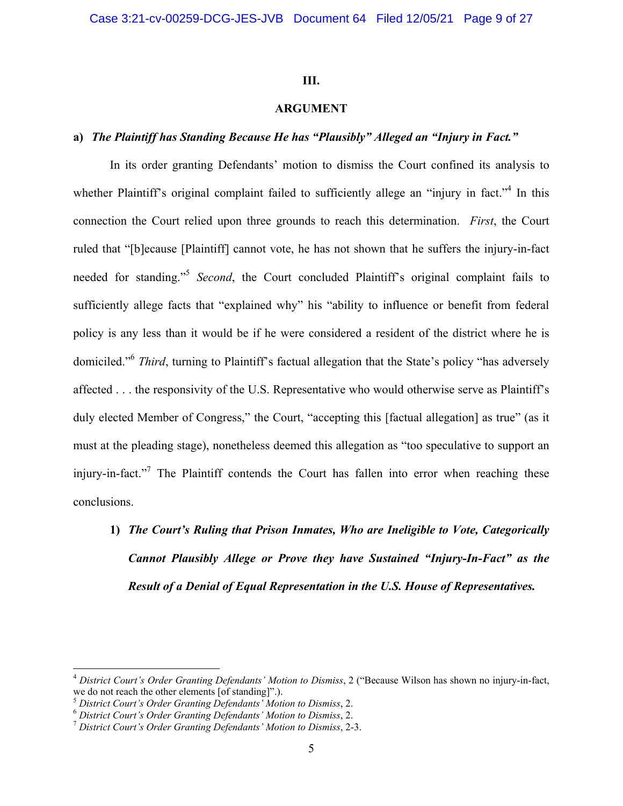### **III.**

### **ARGUMENT**

### **a)** *The Plaintiff has Standing Because He has "Plausibly" Alleged an "Injury in Fact."*

In its order granting Defendants' motion to dismiss the Court confined its analysis to whether Plaintiff's original complaint failed to sufficiently allege an "injury in fact."<sup>4</sup> In this connection the Court relied upon three grounds to reach this determination. *First*, the Court ruled that "[b]ecause [Plaintiff] cannot vote, he has not shown that he suffers the injury-in-fact needed for standing."5 *Second*, the Court concluded Plaintiff's original complaint fails to sufficiently allege facts that "explained why" his "ability to influence or benefit from federal policy is any less than it would be if he were considered a resident of the district where he is domiciled."6 *Third*, turning to Plaintiff's factual allegation that the State's policy "has adversely affected . . . the responsivity of the U.S. Representative who would otherwise serve as Plaintiff's duly elected Member of Congress," the Court, "accepting this [factual allegation] as true" (as it must at the pleading stage), nonetheless deemed this allegation as "too speculative to support an injury-in-fact."<sup>7</sup> The Plaintiff contends the Court has fallen into error when reaching these conclusions.

**1)** *The Court's Ruling that Prison Inmates, Who are Ineligible to Vote, Categorically Cannot Plausibly Allege or Prove they have Sustained "Injury-In-Fact" as the Result of a Denial of Equal Representation in the U.S. House of Representatives.*

 $\overline{a}$ 

<sup>4</sup> *District Court's Order Granting Defendants' Motion to Dismiss*, 2 ("Because Wilson has shown no injury-in-fact, we do not reach the other elements [of standing]".).<br><sup>5</sup> District Court's Order Granting Defendants' Motion to Dismiss, 2.

<sup>&</sup>lt;sup>6</sup> District Court's Order Granting Defendants' Motion to Dismiss, 2.<br><sup>7</sup> District Court's Order Granting Defendants' Motion to Dismiss, 2-3.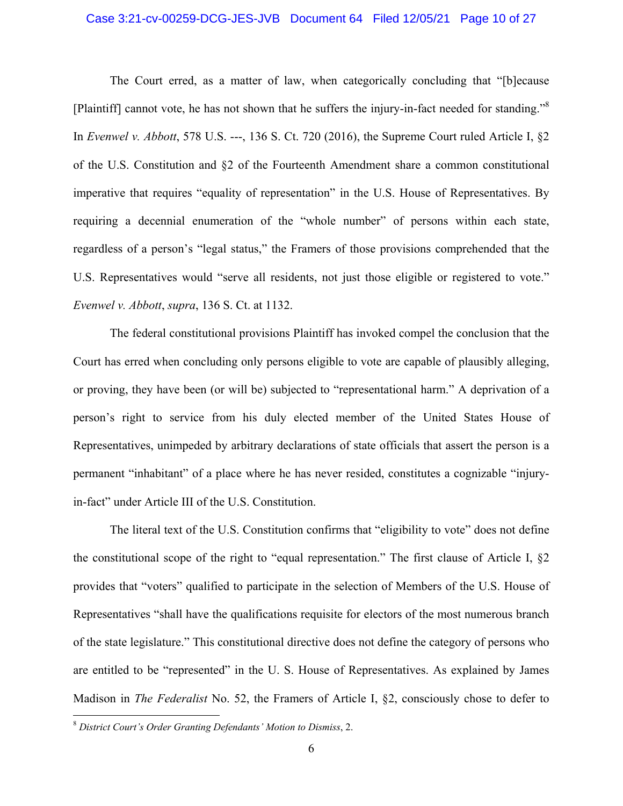### Case 3:21-cv-00259-DCG-JES-JVB Document 64 Filed 12/05/21 Page 10 of 27

The Court erred, as a matter of law, when categorically concluding that "[b]ecause [Plaintiff] cannot vote, he has not shown that he suffers the injury-in-fact needed for standing."8 In *Evenwel v. Abbott*, 578 U.S. ---, 136 S. Ct. 720 (2016), the Supreme Court ruled Article I, §2 of the U.S. Constitution and §2 of the Fourteenth Amendment share a common constitutional imperative that requires "equality of representation" in the U.S. House of Representatives. By requiring a decennial enumeration of the "whole number" of persons within each state, regardless of a person's "legal status," the Framers of those provisions comprehended that the U.S. Representatives would "serve all residents, not just those eligible or registered to vote." *Evenwel v. Abbott*, *supra*, 136 S. Ct. at 1132.

The federal constitutional provisions Plaintiff has invoked compel the conclusion that the Court has erred when concluding only persons eligible to vote are capable of plausibly alleging, or proving, they have been (or will be) subjected to "representational harm." A deprivation of a person's right to service from his duly elected member of the United States House of Representatives, unimpeded by arbitrary declarations of state officials that assert the person is a permanent "inhabitant" of a place where he has never resided, constitutes a cognizable "injuryin-fact" under Article III of the U.S. Constitution.

The literal text of the U.S. Constitution confirms that "eligibility to vote" does not define the constitutional scope of the right to "equal representation." The first clause of Article I, §2 provides that "voters" qualified to participate in the selection of Members of the U.S. House of Representatives "shall have the qualifications requisite for electors of the most numerous branch of the state legislature." This constitutional directive does not define the category of persons who are entitled to be "represented" in the U. S. House of Representatives. As explained by James Madison in *The Federalist* No. 52, the Framers of Article I, §2, consciously chose to defer to

 $\overline{a}$ 

<sup>8</sup> *District Court's Order Granting Defendants' Motion to Dismiss*, 2.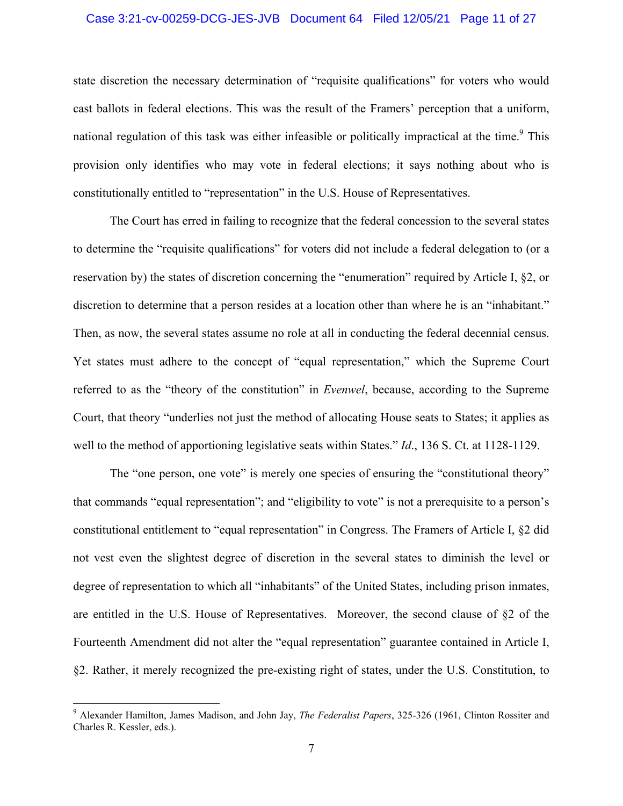### Case 3:21-cv-00259-DCG-JES-JVB Document 64 Filed 12/05/21 Page 11 of 27

state discretion the necessary determination of "requisite qualifications" for voters who would cast ballots in federal elections. This was the result of the Framers' perception that a uniform, national regulation of this task was either infeasible or politically impractical at the time.<sup>9</sup> This provision only identifies who may vote in federal elections; it says nothing about who is constitutionally entitled to "representation" in the U.S. House of Representatives.

The Court has erred in failing to recognize that the federal concession to the several states to determine the "requisite qualifications" for voters did not include a federal delegation to (or a reservation by) the states of discretion concerning the "enumeration" required by Article I, §2, or discretion to determine that a person resides at a location other than where he is an "inhabitant." Then, as now, the several states assume no role at all in conducting the federal decennial census. Yet states must adhere to the concept of "equal representation," which the Supreme Court referred to as the "theory of the constitution" in *Evenwel*, because, according to the Supreme Court, that theory "underlies not just the method of allocating House seats to States; it applies as well to the method of apportioning legislative seats within States." *Id*., 136 S. Ct. at 1128-1129.

The "one person, one vote" is merely one species of ensuring the "constitutional theory" that commands "equal representation"; and "eligibility to vote" is not a prerequisite to a person's constitutional entitlement to "equal representation" in Congress. The Framers of Article I, §2 did not vest even the slightest degree of discretion in the several states to diminish the level or degree of representation to which all "inhabitants" of the United States, including prison inmates, are entitled in the U.S. House of Representatives. Moreover, the second clause of §2 of the Fourteenth Amendment did not alter the "equal representation" guarantee contained in Article I, §2. Rather, it merely recognized the pre-existing right of states, under the U.S. Constitution, to

<sup>9</sup> Alexander Hamilton, James Madison, and John Jay, *The Federalist Papers*, 325-326 (1961, Clinton Rossiter and Charles R. Kessler, eds.).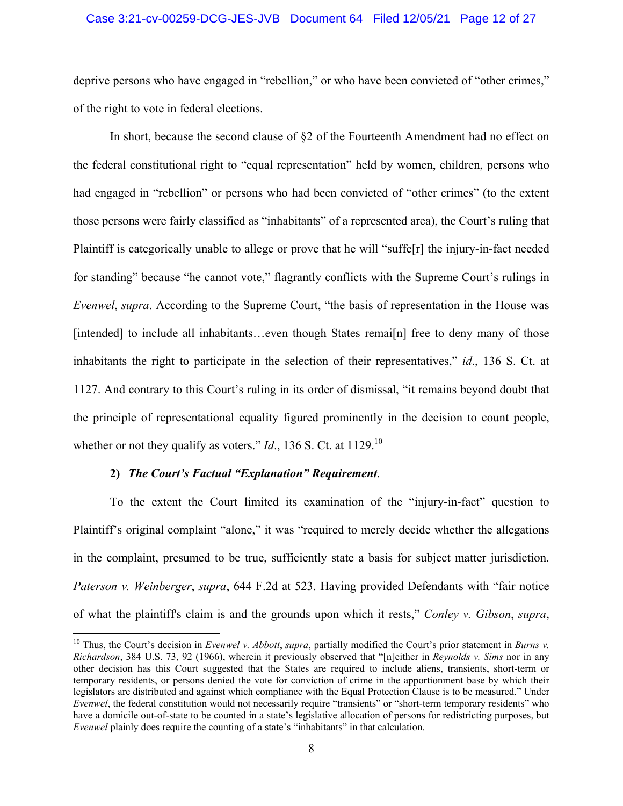### Case 3:21-cv-00259-DCG-JES-JVB Document 64 Filed 12/05/21 Page 12 of 27

deprive persons who have engaged in "rebellion," or who have been convicted of "other crimes," of the right to vote in federal elections.

In short, because the second clause of §2 of the Fourteenth Amendment had no effect on the federal constitutional right to "equal representation" held by women, children, persons who had engaged in "rebellion" or persons who had been convicted of "other crimes" (to the extent those persons were fairly classified as "inhabitants" of a represented area), the Court's ruling that Plaintiff is categorically unable to allege or prove that he will "suffe[r] the injury-in-fact needed for standing" because "he cannot vote," flagrantly conflicts with the Supreme Court's rulings in *Evenwel*, *supra*. According to the Supreme Court, "the basis of representation in the House was [intended] to include all inhabitants...even though States remai<sup>[n]</sup> free to deny many of those inhabitants the right to participate in the selection of their representatives," *id*., 136 S. Ct. at 1127. And contrary to this Court's ruling in its order of dismissal, "it remains beyond doubt that the principle of representational equality figured prominently in the decision to count people, whether or not they qualify as voters."  $Id$ ., 136 S. Ct. at 1129.<sup>10</sup>

### **2)** *The Court's Factual "Explanation" Requirement*.

 $\overline{a}$ 

To the extent the Court limited its examination of the "injury-in-fact" question to Plaintiff's original complaint "alone," it was "required to merely decide whether the allegations in the complaint, presumed to be true, sufficiently state a basis for subject matter jurisdiction. *Paterson v. Weinberger*, *supra*, 644 F.2d at 523. Having provided Defendants with "fair notice of what the plaintiff's claim is and the grounds upon which it rests," *Conley v. Gibson*, *supra*,

<sup>10</sup> Thus, the Court's decision in *Evenwel v. Abbott*, *supra*, partially modified the Court's prior statement in *Burns v. Richardson*, 384 U.S. 73, 92 (1966), wherein it previously observed that "[n]either in *Reynolds v. Sims* nor in any other decision has this Court suggested that the States are required to include aliens, transients, short-term or temporary residents, or persons denied the vote for conviction of crime in the apportionment base by which their legislators are distributed and against which compliance with the Equal Protection Clause is to be measured." Under *Evenwel*, the federal constitution would not necessarily require "transients" or "short-term temporary residents" who have a domicile out-of-state to be counted in a state's legislative allocation of persons for redistricting purposes, but *Evenwel* plainly does require the counting of a state's "inhabitants" in that calculation.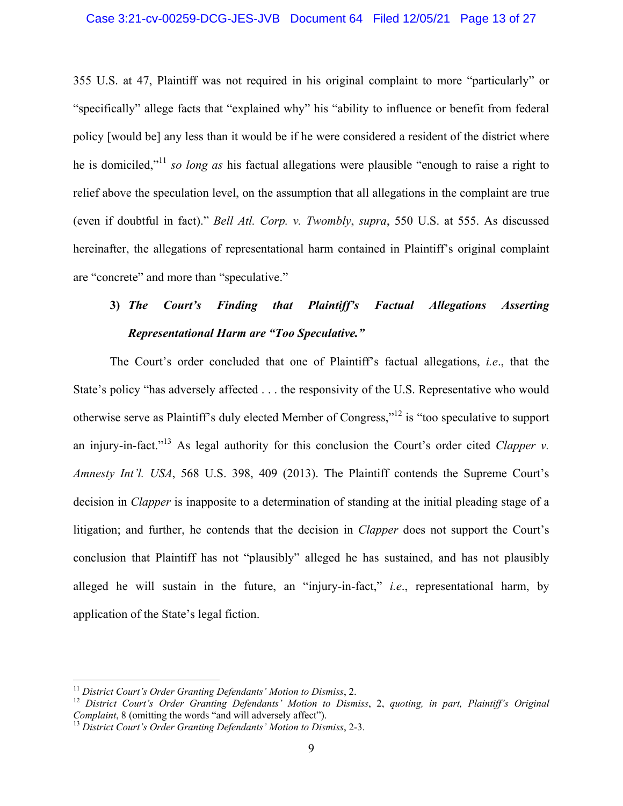355 U.S. at 47, Plaintiff was not required in his original complaint to more "particularly" or "specifically" allege facts that "explained why" his "ability to influence or benefit from federal policy [would be] any less than it would be if he were considered a resident of the district where he is domiciled,"11 *so long as* his factual allegations were plausible "enough to raise a right to relief above the speculation level, on the assumption that all allegations in the complaint are true (even if doubtful in fact)." *Bell Atl. Corp. v. Twombly*, *supra*, 550 U.S. at 555. As discussed hereinafter, the allegations of representational harm contained in Plaintiff's original complaint are "concrete" and more than "speculative."

# **3)** *The Court's Finding that Plaintiff's Factual Allegations Asserting Representational Harm are "Too Speculative."*

The Court's order concluded that one of Plaintiff's factual allegations, *i.e*., that the State's policy "has adversely affected . . . the responsivity of the U.S. Representative who would otherwise serve as Plaintiff's duly elected Member of Congress,"12 is "too speculative to support an injury-in-fact."<sup>13</sup> As legal authority for this conclusion the Court's order cited *Clapper v. Amnesty Int'l. USA*, 568 U.S. 398, 409 (2013). The Plaintiff contends the Supreme Court's decision in *Clapper* is inapposite to a determination of standing at the initial pleading stage of a litigation; and further, he contends that the decision in *Clapper* does not support the Court's conclusion that Plaintiff has not "plausibly" alleged he has sustained, and has not plausibly alleged he will sustain in the future, an "injury-in-fact," *i.e*., representational harm, by application of the State's legal fiction.

 $\overline{a}$ 

<sup>&</sup>lt;sup>11</sup> *District Court's Order Granting Defendants' Motion to Dismiss, 2.*<br><sup>12</sup> *District Court's Order Granting Defendants' Motion to Dismiss, 2, quoting, in part, Plaintiff's Original Complaint, 8 (omitting the words "and* 

<sup>&</sup>lt;sup>13</sup> District Court's Order Granting Defendants' Motion to Dismiss, 2-3.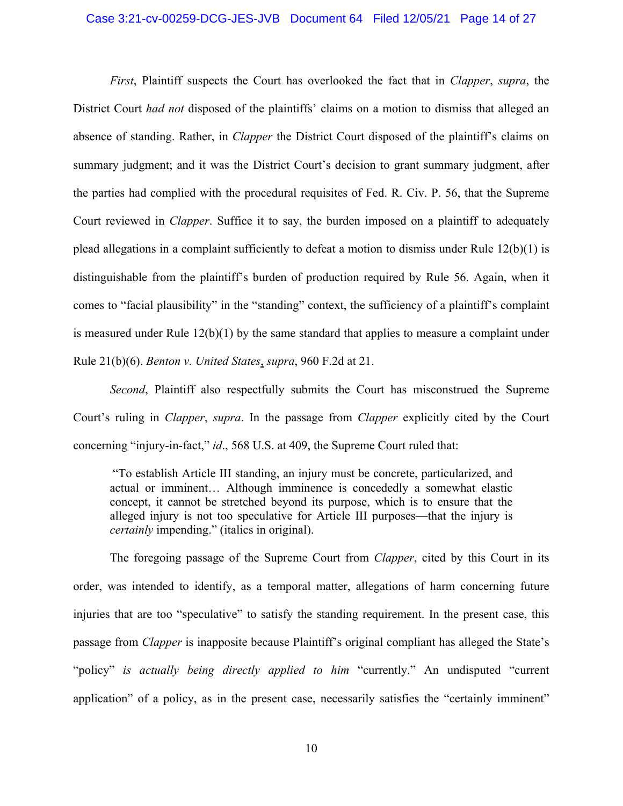### Case 3:21-cv-00259-DCG-JES-JVB Document 64 Filed 12/05/21 Page 14 of 27

*First*, Plaintiff suspects the Court has overlooked the fact that in *Clapper*, *supra*, the District Court *had not* disposed of the plaintiffs' claims on a motion to dismiss that alleged an absence of standing. Rather, in *Clapper* the District Court disposed of the plaintiff's claims on summary judgment; and it was the District Court's decision to grant summary judgment, after the parties had complied with the procedural requisites of Fed. R. Civ. P. 56, that the Supreme Court reviewed in *Clapper*. Suffice it to say, the burden imposed on a plaintiff to adequately plead allegations in a complaint sufficiently to defeat a motion to dismiss under Rule 12(b)(1) is distinguishable from the plaintiff's burden of production required by Rule 56. Again, when it comes to "facial plausibility" in the "standing" context, the sufficiency of a plaintiff's complaint is measured under Rule  $12(b)(1)$  by the same standard that applies to measure a complaint under Rule 21(b)(6). *Benton v. United States*, *supra*, 960 F.2d at 21.

*Second*, Plaintiff also respectfully submits the Court has misconstrued the Supreme Court's ruling in *Clapper*, *supra*. In the passage from *Clapper* explicitly cited by the Court concerning "injury-in-fact," *id*., 568 U.S. at 409, the Supreme Court ruled that:

 "To establish Article III standing, an injury must be concrete, particularized, and actual or imminent… Although imminence is concededly a somewhat elastic concept, it cannot be stretched beyond its purpose, which is to ensure that the alleged injury is not too speculative for Article III purposes—that the injury is *certainly* impending." (italics in original).

 The foregoing passage of the Supreme Court from *Clapper*, cited by this Court in its order, was intended to identify, as a temporal matter, allegations of harm concerning future injuries that are too "speculative" to satisfy the standing requirement. In the present case, this passage from *Clapper* is inapposite because Plaintiff's original compliant has alleged the State's "policy" *is actually being directly applied to him* "currently." An undisputed "current application" of a policy, as in the present case, necessarily satisfies the "certainly imminent"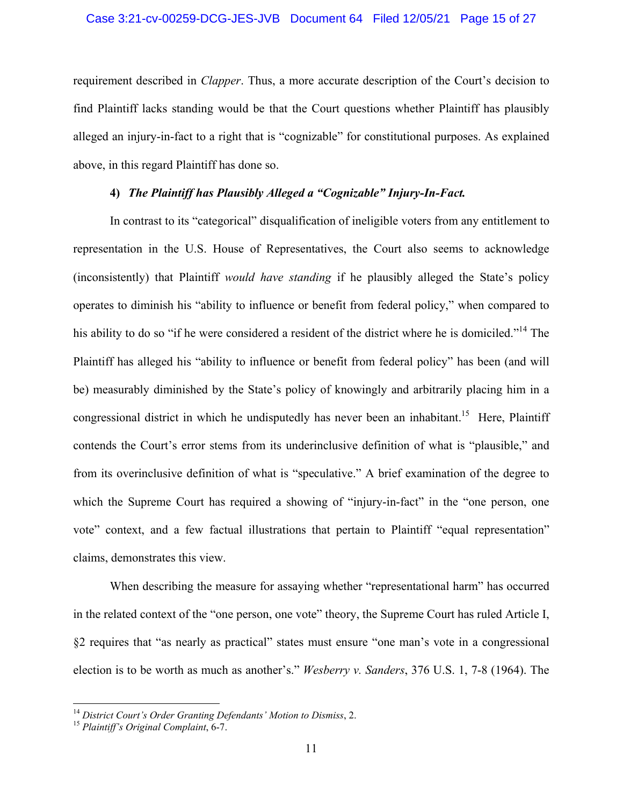### Case 3:21-cv-00259-DCG-JES-JVB Document 64 Filed 12/05/21 Page 15 of 27

requirement described in *Clapper*. Thus, a more accurate description of the Court's decision to find Plaintiff lacks standing would be that the Court questions whether Plaintiff has plausibly alleged an injury-in-fact to a right that is "cognizable" for constitutional purposes. As explained above, in this regard Plaintiff has done so.

# **4)** *The Plaintiff has Plausibly Alleged a "Cognizable" Injury-In-Fact.*

In contrast to its "categorical" disqualification of ineligible voters from any entitlement to representation in the U.S. House of Representatives, the Court also seems to acknowledge (inconsistently) that Plaintiff *would have standing* if he plausibly alleged the State's policy operates to diminish his "ability to influence or benefit from federal policy," when compared to his ability to do so "if he were considered a resident of the district where he is domiciled."<sup>14</sup> The Plaintiff has alleged his "ability to influence or benefit from federal policy" has been (and will be) measurably diminished by the State's policy of knowingly and arbitrarily placing him in a congressional district in which he undisputedly has never been an inhabitant.<sup>15</sup> Here, Plaintiff contends the Court's error stems from its underinclusive definition of what is "plausible," and from its overinclusive definition of what is "speculative." A brief examination of the degree to which the Supreme Court has required a showing of "injury-in-fact" in the "one person, one vote" context, and a few factual illustrations that pertain to Plaintiff "equal representation" claims, demonstrates this view.

When describing the measure for assaying whether "representational harm" has occurred in the related context of the "one person, one vote" theory, the Supreme Court has ruled Article I, §2 requires that "as nearly as practical" states must ensure "one man's vote in a congressional election is to be worth as much as another's." *Wesberry v. Sanders*, 376 U.S. 1, 7-8 (1964). The

<sup>14</sup> *District Court's Order Granting Defendants' Motion to Dismiss*, 2. 15 *Plaintiff's Original Complaint*, 6-7.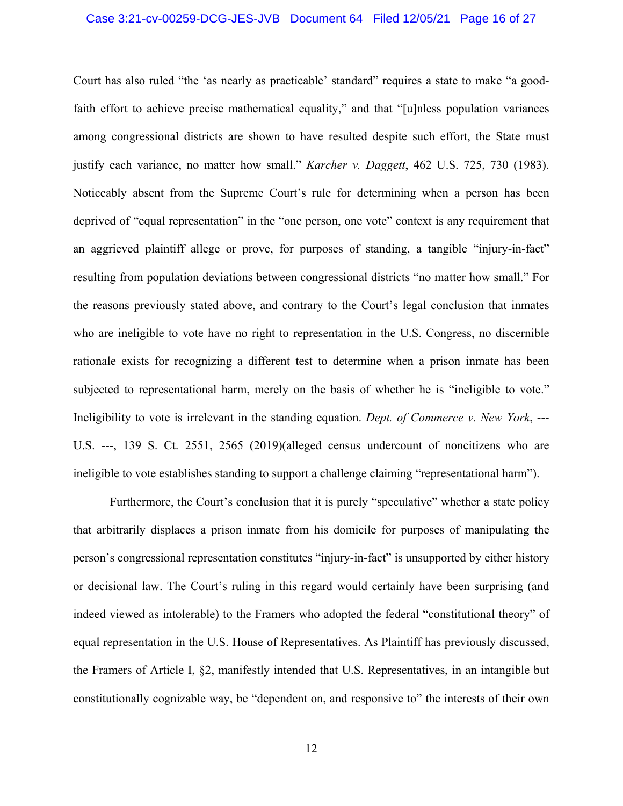### Case 3:21-cv-00259-DCG-JES-JVB Document 64 Filed 12/05/21 Page 16 of 27

Court has also ruled "the 'as nearly as practicable' standard" requires a state to make "a goodfaith effort to achieve precise mathematical equality," and that "[u]nless population variances among congressional districts are shown to have resulted despite such effort, the State must justify each variance, no matter how small." *Karcher v. Daggett*, 462 U.S. 725, 730 (1983). Noticeably absent from the Supreme Court's rule for determining when a person has been deprived of "equal representation" in the "one person, one vote" context is any requirement that an aggrieved plaintiff allege or prove, for purposes of standing, a tangible "injury-in-fact" resulting from population deviations between congressional districts "no matter how small." For the reasons previously stated above, and contrary to the Court's legal conclusion that inmates who are ineligible to vote have no right to representation in the U.S. Congress, no discernible rationale exists for recognizing a different test to determine when a prison inmate has been subjected to representational harm, merely on the basis of whether he is "ineligible to vote." Ineligibility to vote is irrelevant in the standing equation. *Dept. of Commerce v. New York*, --- U.S. ---, 139 S. Ct. 2551, 2565 (2019)(alleged census undercount of noncitizens who are ineligible to vote establishes standing to support a challenge claiming "representational harm").

Furthermore, the Court's conclusion that it is purely "speculative" whether a state policy that arbitrarily displaces a prison inmate from his domicile for purposes of manipulating the person's congressional representation constitutes "injury-in-fact" is unsupported by either history or decisional law. The Court's ruling in this regard would certainly have been surprising (and indeed viewed as intolerable) to the Framers who adopted the federal "constitutional theory" of equal representation in the U.S. House of Representatives. As Plaintiff has previously discussed, the Framers of Article I, §2, manifestly intended that U.S. Representatives, in an intangible but constitutionally cognizable way, be "dependent on, and responsive to" the interests of their own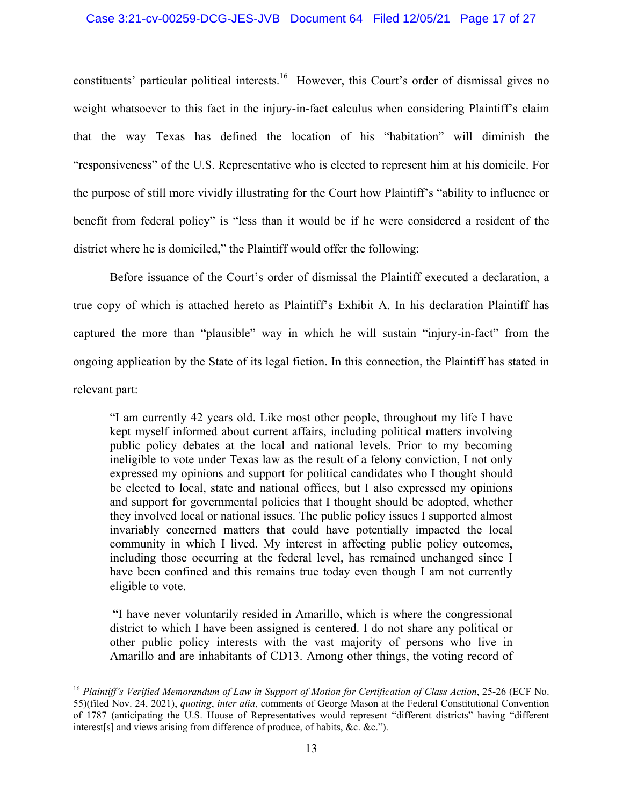### Case 3:21-cv-00259-DCG-JES-JVB Document 64 Filed 12/05/21 Page 17 of 27

constituents' particular political interests.<sup>16</sup> However, this Court's order of dismissal gives no weight whatsoever to this fact in the injury-in-fact calculus when considering Plaintiff's claim that the way Texas has defined the location of his "habitation" will diminish the "responsiveness" of the U.S. Representative who is elected to represent him at his domicile. For the purpose of still more vividly illustrating for the Court how Plaintiff's "ability to influence or benefit from federal policy" is "less than it would be if he were considered a resident of the district where he is domiciled," the Plaintiff would offer the following:

Before issuance of the Court's order of dismissal the Plaintiff executed a declaration, a true copy of which is attached hereto as Plaintiff's Exhibit A. In his declaration Plaintiff has captured the more than "plausible" way in which he will sustain "injury-in-fact" from the ongoing application by the State of its legal fiction. In this connection, the Plaintiff has stated in relevant part:

"I am currently 42 years old. Like most other people, throughout my life I have kept myself informed about current affairs, including political matters involving public policy debates at the local and national levels. Prior to my becoming ineligible to vote under Texas law as the result of a felony conviction, I not only expressed my opinions and support for political candidates who I thought should be elected to local, state and national offices, but I also expressed my opinions and support for governmental policies that I thought should be adopted, whether they involved local or national issues. The public policy issues I supported almost invariably concerned matters that could have potentially impacted the local community in which I lived. My interest in affecting public policy outcomes, including those occurring at the federal level, has remained unchanged since I have been confined and this remains true today even though I am not currently eligible to vote.

 "I have never voluntarily resided in Amarillo, which is where the congressional district to which I have been assigned is centered. I do not share any political or other public policy interests with the vast majority of persons who live in Amarillo and are inhabitants of CD13. Among other things, the voting record of

 $\overline{a}$ 

<sup>16</sup> *Plaintiff's Verified Memorandum of Law in Support of Motion for Certification of Class Action*, 25-26 (ECF No. 55)(filed Nov. 24, 2021), *quoting*, *inter alia*, comments of George Mason at the Federal Constitutional Convention of 1787 (anticipating the U.S. House of Representatives would represent "different districts" having "different interest[s] and views arising from difference of produce, of habits, &c. &c.").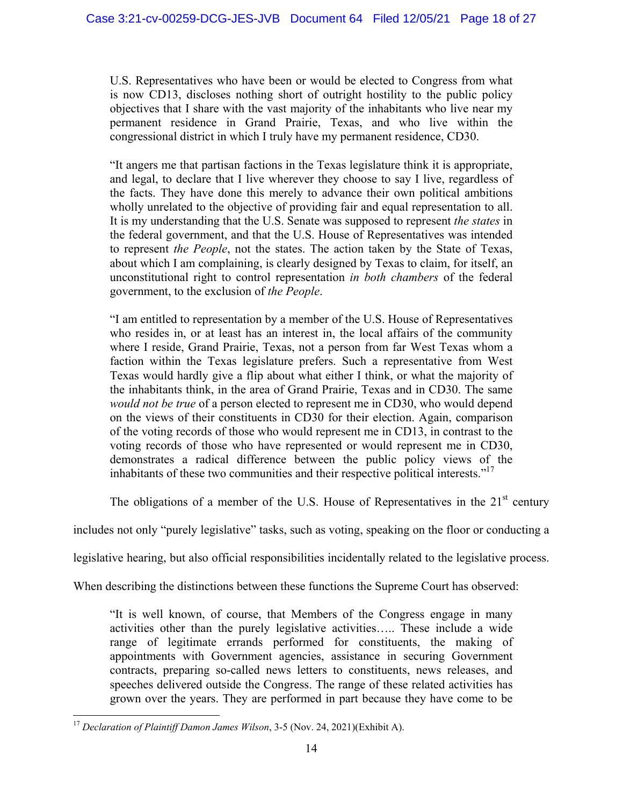U.S. Representatives who have been or would be elected to Congress from what is now CD13, discloses nothing short of outright hostility to the public policy objectives that I share with the vast majority of the inhabitants who live near my permanent residence in Grand Prairie, Texas, and who live within the congressional district in which I truly have my permanent residence, CD30.

"It angers me that partisan factions in the Texas legislature think it is appropriate, and legal, to declare that I live wherever they choose to say I live, regardless of the facts. They have done this merely to advance their own political ambitions wholly unrelated to the objective of providing fair and equal representation to all. It is my understanding that the U.S. Senate was supposed to represent *the states* in the federal government, and that the U.S. House of Representatives was intended to represent *the People*, not the states. The action taken by the State of Texas, about which I am complaining, is clearly designed by Texas to claim, for itself, an unconstitutional right to control representation *in both chambers* of the federal government, to the exclusion of *the People*.

"I am entitled to representation by a member of the U.S. House of Representatives who resides in, or at least has an interest in, the local affairs of the community where I reside, Grand Prairie, Texas, not a person from far West Texas whom a faction within the Texas legislature prefers. Such a representative from West Texas would hardly give a flip about what either I think, or what the majority of the inhabitants think, in the area of Grand Prairie, Texas and in CD30. The same *would not be true* of a person elected to represent me in CD30, who would depend on the views of their constituents in CD30 for their election. Again, comparison of the voting records of those who would represent me in CD13, in contrast to the voting records of those who have represented or would represent me in CD30, demonstrates a radical difference between the public policy views of the inhabitants of these two communities and their respective political interests."<sup>17</sup>

The obligations of a member of the U.S. House of Representatives in the  $21<sup>st</sup>$  century

includes not only "purely legislative" tasks, such as voting, speaking on the floor or conducting a

legislative hearing, but also official responsibilities incidentally related to the legislative process.

When describing the distinctions between these functions the Supreme Court has observed:

"It is well known, of course, that Members of the Congress engage in many activities other than the purely legislative activities….. These include a wide range of legitimate errands performed for constituents, the making of appointments with Government agencies, assistance in securing Government contracts, preparing so-called news letters to constituents, news releases, and speeches delivered outside the Congress. The range of these related activities has grown over the years. They are performed in part because they have come to be

<u>.</u>

<sup>17</sup> *Declaration of Plaintiff Damon James Wilson*, 3-5 (Nov. 24, 2021)(Exhibit A).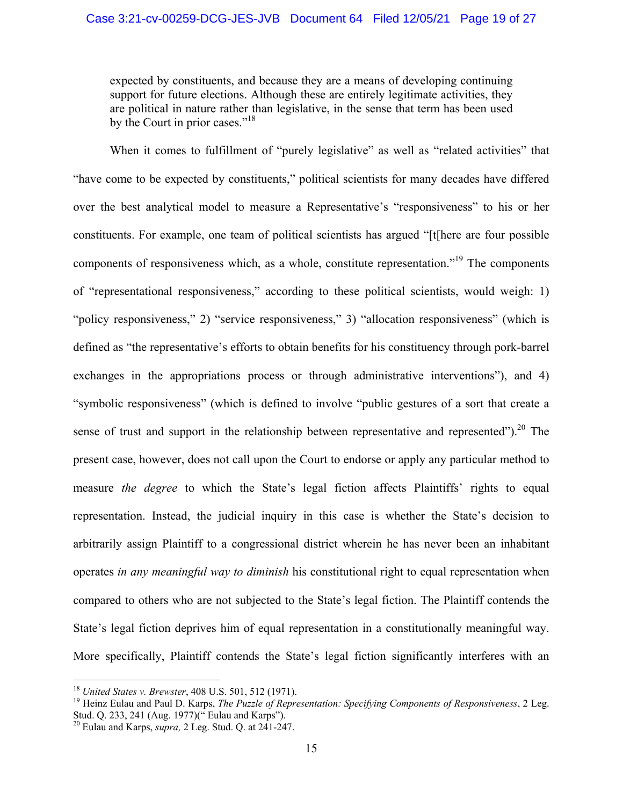expected by constituents, and because they are a means of developing continuing support for future elections. Although these are entirely legitimate activities, they are political in nature rather than legislative, in the sense that term has been used by the Court in prior cases."<sup>18</sup>

When it comes to fulfillment of "purely legislative" as well as "related activities" that "have come to be expected by constituents," political scientists for many decades have differed over the best analytical model to measure a Representative's "responsiveness" to his or her constituents. For example, one team of political scientists has argued "[t[here are four possible components of responsiveness which, as a whole, constitute representation.<sup>19</sup> The components of "representational responsiveness," according to these political scientists, would weigh: 1) "policy responsiveness," 2) "service responsiveness," 3) "allocation responsiveness" (which is defined as "the representative's efforts to obtain benefits for his constituency through pork-barrel exchanges in the appropriations process or through administrative interventions"), and 4) "symbolic responsiveness" (which is defined to involve "public gestures of a sort that create a sense of trust and support in the relationship between representative and represented").<sup>20</sup> The present case, however, does not call upon the Court to endorse or apply any particular method to measure *the degree* to which the State's legal fiction affects Plaintiffs' rights to equal representation. Instead, the judicial inquiry in this case is whether the State's decision to arbitrarily assign Plaintiff to a congressional district wherein he has never been an inhabitant operates *in any meaningful way to diminish* his constitutional right to equal representation when compared to others who are not subjected to the State's legal fiction. The Plaintiff contends the State's legal fiction deprives him of equal representation in a constitutionally meaningful way. More specifically, Plaintiff contends the State's legal fiction significantly interferes with an

<sup>&</sup>lt;sup>18</sup> United States v. Brewster, 408 U.S. 501, 512 (1971).

<sup>&</sup>lt;sup>19</sup> Heinz Eulau and Paul D. Karps, *The Puzzle of Representation: Specifying Components of Responsiveness*, 2 Leg. Stud. Q. 233, 241 (Aug. 1977)(" Eulau and Karps").

<sup>20</sup> Eulau and Karps, *supra,* 2 Leg. Stud. Q. at 241-247.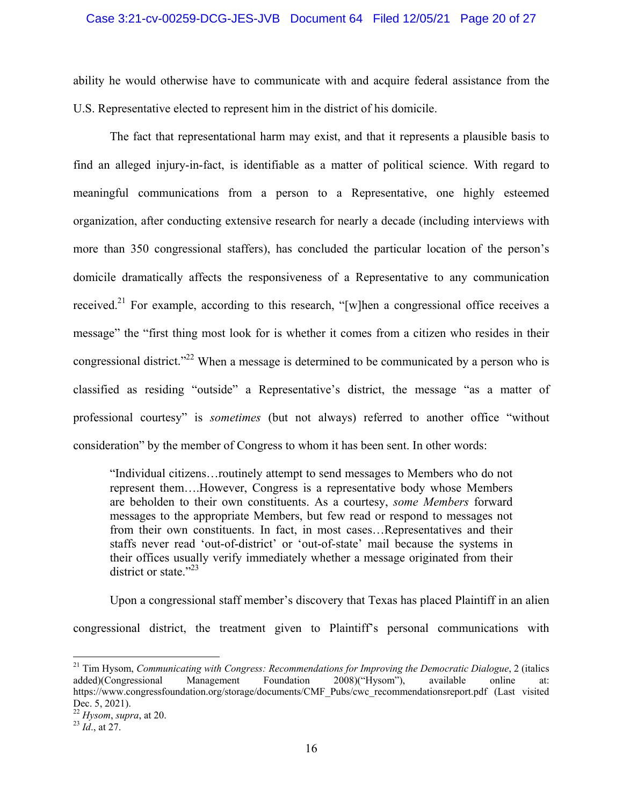### Case 3:21-cv-00259-DCG-JES-JVB Document 64 Filed 12/05/21 Page 20 of 27

ability he would otherwise have to communicate with and acquire federal assistance from the U.S. Representative elected to represent him in the district of his domicile.

The fact that representational harm may exist, and that it represents a plausible basis to find an alleged injury-in-fact, is identifiable as a matter of political science. With regard to meaningful communications from a person to a Representative, one highly esteemed organization, after conducting extensive research for nearly a decade (including interviews with more than 350 congressional staffers), has concluded the particular location of the person's domicile dramatically affects the responsiveness of a Representative to any communication received.<sup>21</sup> For example, according to this research, "[w]hen a congressional office receives a message" the "first thing most look for is whether it comes from a citizen who resides in their congressional district."<sup>22</sup> When a message is determined to be communicated by a person who is classified as residing "outside" a Representative's district, the message "as a matter of professional courtesy" is *sometimes* (but not always) referred to another office "without consideration" by the member of Congress to whom it has been sent. In other words:

"Individual citizens…routinely attempt to send messages to Members who do not represent them….However, Congress is a representative body whose Members are beholden to their own constituents. As a courtesy, *some Members* forward messages to the appropriate Members, but few read or respond to messages not from their own constituents. In fact, in most cases…Representatives and their staffs never read 'out-of-district' or 'out-of-state' mail because the systems in their offices usually verify immediately whether a message originated from their district or state."<sup>23</sup>

 Upon a congressional staff member's discovery that Texas has placed Plaintiff in an alien congressional district, the treatment given to Plaintiff's personal communications with

<sup>21</sup> Tim Hysom, *Communicating with Congress: Recommendations for Improving the Democratic Dialogue*, 2 (italics added)(Congressional Management Foundation 2008)("Hysom"), available online at: https://www.congressfoundation.org/storage/documents/CMF\_Pubs/cwc\_recommendationsreport.pdf (Last visited Dec. 5, 2021).

<sup>22</sup> *Hysom*, *supra*, at 20. 23 *Id*., at 27.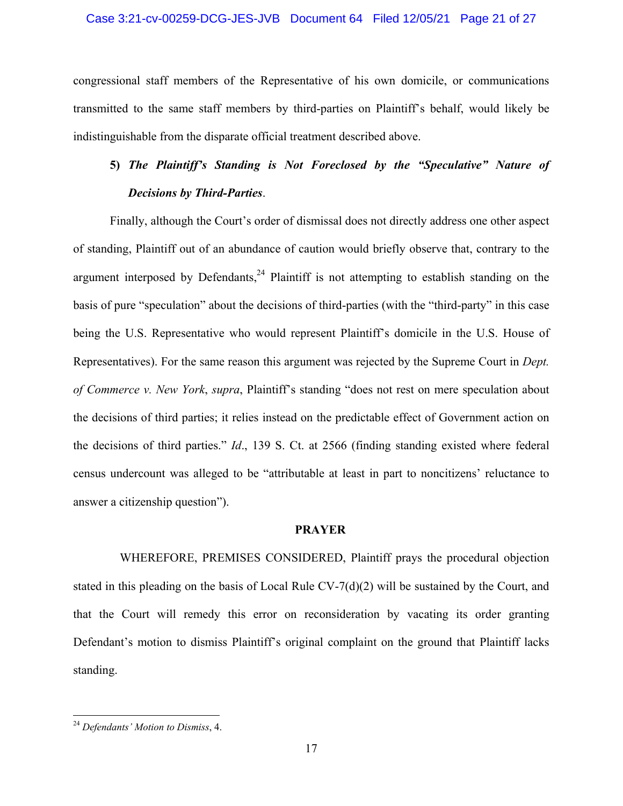### Case 3:21-cv-00259-DCG-JES-JVB Document 64 Filed 12/05/21 Page 21 of 27

congressional staff members of the Representative of his own domicile, or communications transmitted to the same staff members by third-parties on Plaintiff's behalf, would likely be indistinguishable from the disparate official treatment described above.

# **5)** *The Plaintiff's Standing is Not Foreclosed by the "Speculative" Nature of Decisions by Third-Parties*.

 Finally, although the Court's order of dismissal does not directly address one other aspect of standing, Plaintiff out of an abundance of caution would briefly observe that, contrary to the argument interposed by Defendants,  $24$  Plaintiff is not attempting to establish standing on the basis of pure "speculation" about the decisions of third-parties (with the "third-party" in this case being the U.S. Representative who would represent Plaintiff's domicile in the U.S. House of Representatives). For the same reason this argument was rejected by the Supreme Court in *Dept. of Commerce v. New York*, *supra*, Plaintiff's standing "does not rest on mere speculation about the decisions of third parties; it relies instead on the predictable effect of Government action on the decisions of third parties." *Id*., 139 S. Ct. at 2566 (finding standing existed where federal census undercount was alleged to be "attributable at least in part to noncitizens' reluctance to answer a citizenship question").

### **PRAYER**

WHEREFORE, PREMISES CONSIDERED, Plaintiff prays the procedural objection stated in this pleading on the basis of Local Rule CV-7(d)(2) will be sustained by the Court, and that the Court will remedy this error on reconsideration by vacating its order granting Defendant's motion to dismiss Plaintiff's original complaint on the ground that Plaintiff lacks standing.

<u>.</u>

<sup>24</sup> *Defendants' Motion to Dismiss*, 4.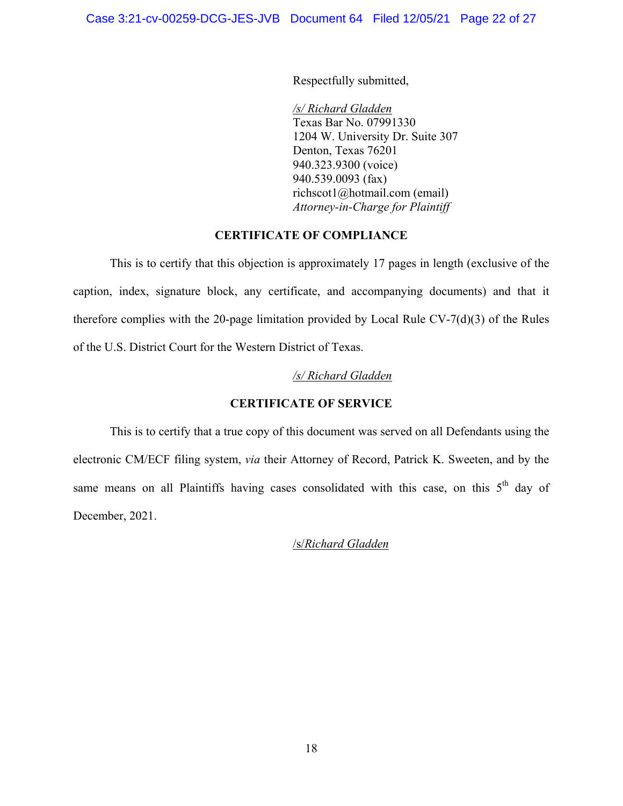Respectfully submitted,

*/s/ Richard Gladden*  Texas Bar No. 07991330 1204 W. University Dr. Suite 307 Denton, Texas 76201 940.323.9300 (voice) 940.539.0093 (fax) richscot1@hotmail.com (email) *Attorney-in-Charge for Plaintiff* 

# **CERTIFICATE OF COMPLIANCE**

 This is to certify that this objection is approximately 17 pages in length (exclusive of the caption, index, signature block, any certificate, and accompanying documents) and that it therefore complies with the 20-page limitation provided by Local Rule CV-7(d)(3) of the Rules of the U.S. District Court for the Western District of Texas.

# */s/ Richard Gladden*

# **CERTIFICATE OF SERVICE**

 This is to certify that a true copy of this document was served on all Defendants using the electronic CM/ECF filing system, *via* their Attorney of Record, Patrick K. Sweeten, and by the same means on all Plaintiffs having cases consolidated with this case, on this  $5<sup>th</sup>$  day of December, 2021.

/s/*Richard Gladden*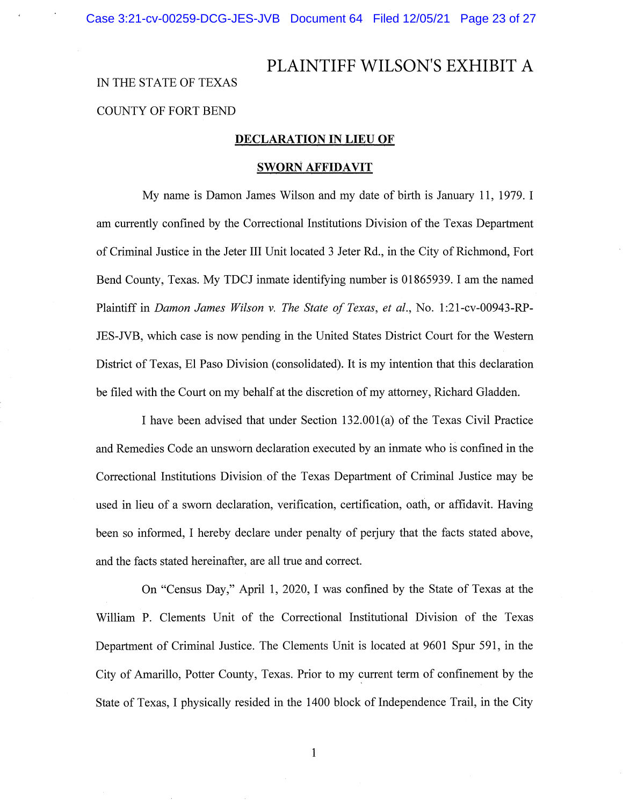# PLAINTIFF WILSON'S EXHIBIT A IN THE STATE OF TEXAS COUNTY OF FORT BEND

### **DECLARATION IN LIEU OF**

#### **SWORN AFFIDAVIT**

My name is Damon James Wilson and my date of birth is January 11, 1979. I am currently confined by the Correctional Institutions Division of the Texas Department of Criminal Justice in the Jeter III Unit located 3 Jeter Rd., in the City of Richmond, Fort Bend County, Texas. My TDCJ inmate identifying number is 01865939. I am the named Plaintiff in *Damon James Wilson v. The State of Texas, et al.,* No. 1:21-cv-00943-RP-JES-NB, which case is now pending in the United States District Court for the Western District of Texas, El Paso Division (consolidated). It is my intention that this declaration be filed with the Court on my behalf at the discretion of my attorney, Richard Gladden.

I have been advised that under Section 132.00l(a) of the Texas Civil Practice and Remedies Code an unsworn declaration executed by an inmate who is confined in the Correctional Institutions Division. of the Texas Department of Criminal Justice may be used in lieu of a sworn declaration, verification, certification, oath, or affidavit. Having been so informed, I hereby declare under penalty of perjury that the facts stated above, and the facts stated hereinafter, are all true and correct.

On "Census Day," April 1, 2020, I was confined by the State of Texas at the William P. Clements Unit of the Correctional Institutional Division of the Texas Department of Criminal Justice. The Clements Unit is located at 9601 Spur 591, in the City of Amarillo, Potter County, Texas. Prior to my current term of confinement by the State of Texas, I physically resided in the 1400 block of Independence Trail, in the City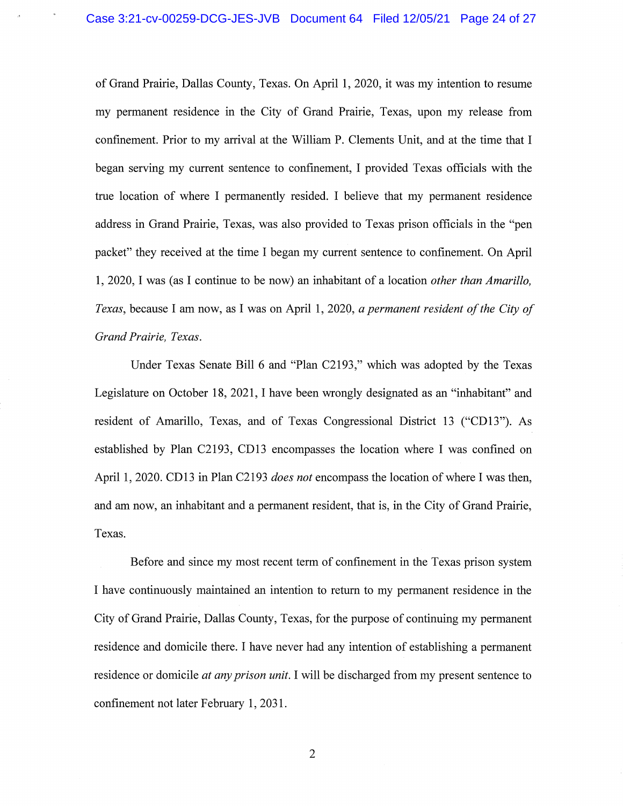of Grand Prairie, Dallas County, Texas. On April 1, 2020, it was my intention to resume my permanent residence in the City of Grand Prairie, Texas, upon my release from confinement. Prior to my arrival at the William P. Clements Unit, and at the time that I began serving my current sentence to confinement, I provided Texas officials with the true location of where I permanently resided. I believe that my permanent residence address in Grand Prairie, Texas, was also provided to Texas prison officials in the "pen packet" they received at the time I began my current sentence to confinement. On April 1, 2020, I was (as I continue to be now) an inhabitant of a location *other than Amarillo, Texas,* because I am now, as I was on April 1, 2020, *a permanent resident of the City of Grand Prairie, Texas.* 

Under Texas Senate Bill 6 and "Plan C2193," which was adopted by the Texas Legislature on October 18, 2021, I have been wrongly designated as an "inhabitant" and resident of Amarillo, Texas, and of Texas Congressional District 13 ("CD13"). As established by Plan C2193, CD 13 encompasses the location where I was confined on April 1, 2020. CD13 in Plan C2193 *does not* encompass the location of where I was then, and am now, an inhabitant and a permanent resident, that is, in the City of Grand Prairie, Texas.

Before and since my most recent term of confinement in the Texas prison system I have continuously maintained an intention to return to my permanent residence in the City of Grand Prairie, Dallas County, Texas, for the purpose of continuing my permanent residence and domicile there. I have never had any intention of establishing a permanent residence or domicile *at any prison unit.* I will be discharged from my present sentence to confinement not later February 1, 2031.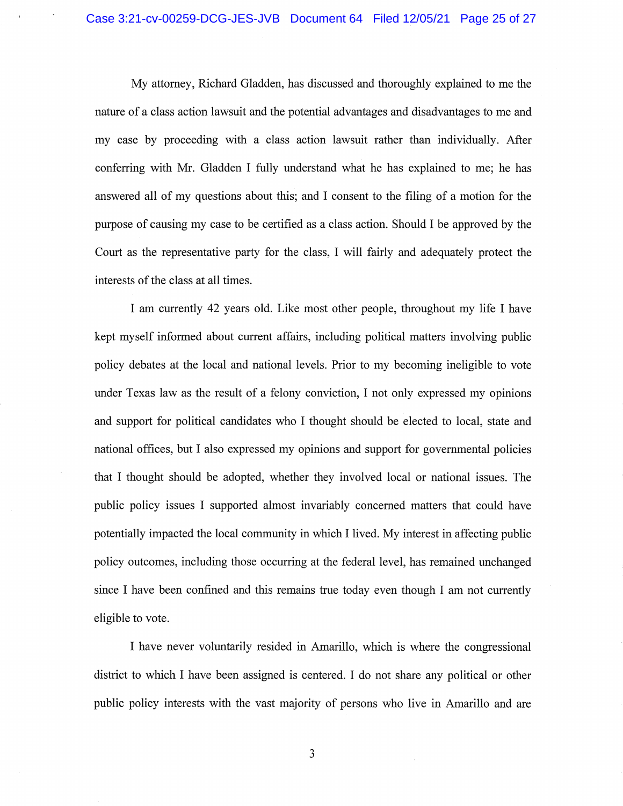My attorney, Richard Gladden, has discussed and thoroughly explained to me the nature of a class action lawsuit and the potential advantages and disadvantages to me and my case by proceeding with a class action lawsuit rather than individually. After conferring with Mr. Gladden I fully understand what he has explained to me; he has answered all of my questions about this; and I consent to the filing of a motion for the purpose of causing my case to be certified as a class action. Should I be approved by the Court as the representative party for the class, I will fairly and adequately protect the interests of the class at all times.

I am currently 42 years old. Like most other people, throughout my life I have kept myself informed about current affairs, including political matters involving public policy debates at the local and national levels. Prior to my becoming ineligible to vote under Texas law as the result of a felony conviction, I not only expressed my opinions and support for political candidates who I thought should be elected to local, state and national offices, but I also expressed my opinions and support for governmental policies that I thought should be adopted, whether they involved local or national issues. The public policy issues I supported almost invariably concerned matters that could have potentially impacted the local community in which I lived. My interest in affecting public policy outcomes, including those occurring at the federal level, has remained unchanged since I have been confined and this remains true today even though I am not currently eligible to vote.

I have never voluntarily resided in Amarillo, which is where the congressional district to which I have been assigned is centered. I do not share any political or other public policy interests with the vast majority of persons who live in Amarillo and are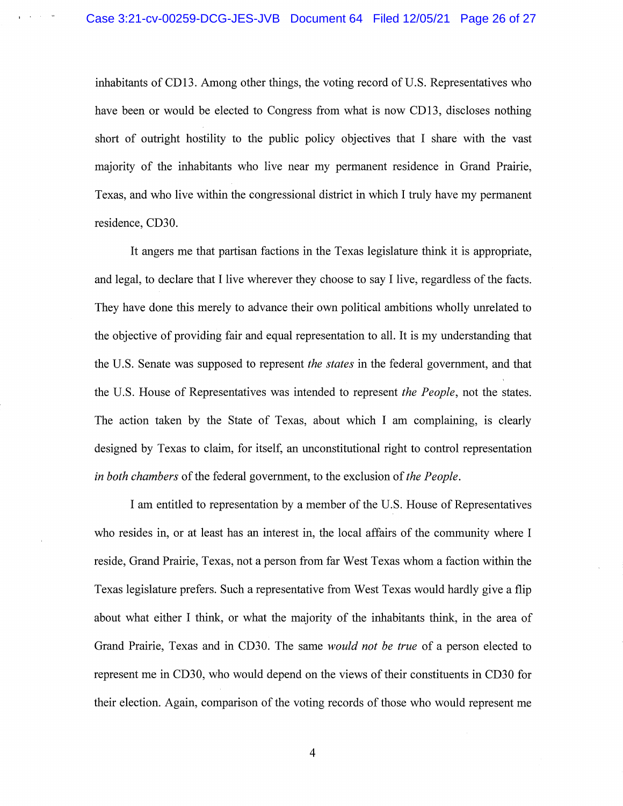$\mathcal{L}_{\mathbf{z}}$  and  $\mathcal{L}_{\mathbf{z}}$ 

inhabitants of CD13. Among other things, the voting record of U.S. Representatives who have been or would be elected to Congress from what is now CD13, discloses nothing short of outright hostility to the public policy objectives that I share with the vast majority of the inhabitants who live near my permanent residence in Grand Prairie, Texas, and who live within the congressional district in which I truly have my permanent residence, CD30.

It angers me that partisan factions in the Texas legislature think it is appropriate, and legal, to declare that I live wherever they choose to say I live, regardless of the facts. They have done this merely to advance their own political ambitions wholly unrelated to the objective of providing fair and equal representation to all. It is my understanding that the U.S. Senate was supposed to represent *the states* in the federal government, and that the U.S. House of Representatives was intended to represent *the People,* not the states. The action taken by the State of Texas, about which I am complaining, is clearly designed by Texas to claim, for itself, an unconstitutional right to control representation *in both chambers* of the federal government, to the exclusion of *the People.* 

I am entitled to representation by a member of the U.S. House of Representatives who resides in, or at least has an interest in, the local affairs of the community where I reside, Grand Prairie, Texas, not a person from far West Texas whom a faction within the Texas legislature prefers. Such a representative from West Texas would hardly give a flip about what either I think, or what the majority of the inhabitants think, in the area of Grand Prairie, Texas and in CD30. The same *would not be true* of a person elected to represent me in CD30, who would depend on the views of their constituents in CD30 for their election. Again, comparison of the voting records of those who would represent me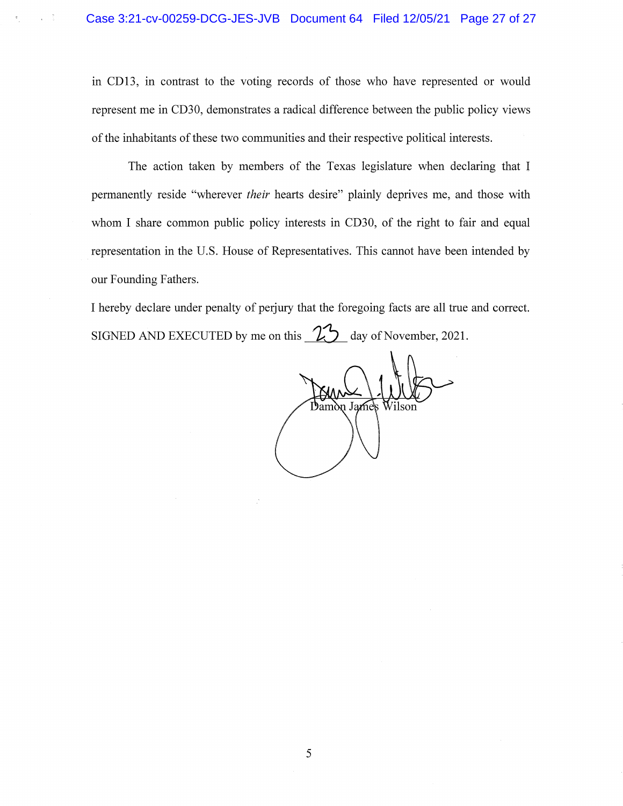$\chi = \frac{2}{3}$  .

in CD13, in contrast to the voting records of those who have represented or would represent me in CD30, demonstrates a radical difference between the public policy views of the inhabitants of these two communities and their respective political interests.

The action taken by members of the Texas legislature when declaring that I permanently reside "wherever *their* hearts desire" plainly deprives me, and those with whom I share common public policy interests in CD30, of the right to fair and equal . representation in the U.S. House of Representatives. This cannot have been intended by our Founding Fathers.

I hereby declare under penalty of perjury that the foregoing facts are all true and correct. SIGNED AND EXECUTED by me on this  $\frac{25}{10}$  day of November, 2021.

Damòn Jame's Vilson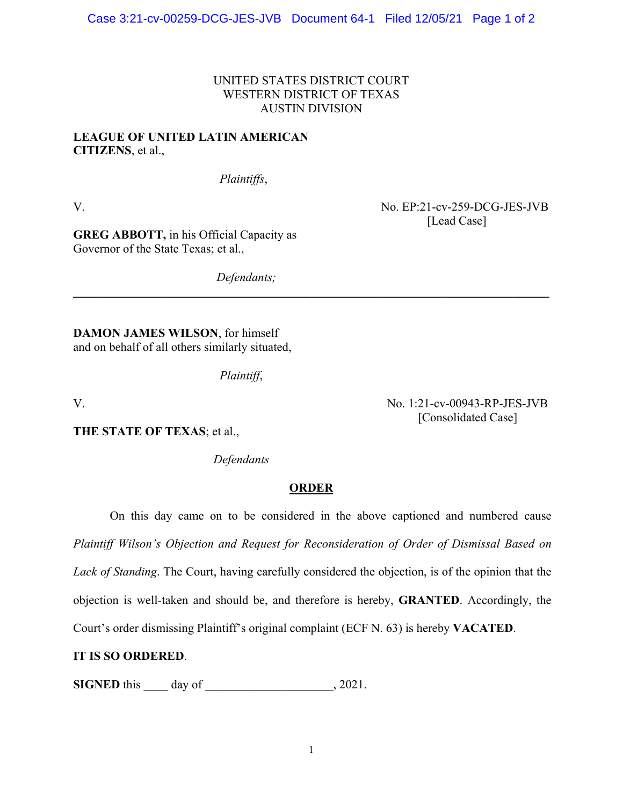# UNITED STATES DISTRICT COURT WESTERN DISTRICT OF TEXAS AUSTIN DIVISION

**\_\_\_\_\_\_\_\_\_\_\_\_\_\_\_\_\_\_\_\_\_\_\_\_\_\_\_\_\_\_\_\_\_\_\_\_\_\_\_\_\_\_\_\_\_\_\_\_\_\_\_\_\_\_\_\_\_\_\_\_\_\_\_\_\_\_\_\_\_\_\_\_\_\_\_\_\_\_** 

# **LEAGUE OF UNITED LATIN AMERICAN CITIZENS**, et al.,

*Plaintiffs*,

V. No. EP:21-cv-259-DCG-JES-JVB [Lead Case]

[Consolidated Case]

**GREG ABBOTT,** in his Official Capacity as Governor of the State Texas; et al.,

*Defendants;* 

**DAMON JAMES WILSON**, for himself and on behalf of all others similarly situated,

*Plaintiff*,

V. No. 1:21-cv-00943-RP-JES-JVB

**THE STATE OF TEXAS**; et al.,

 *Defendants* 

# **ORDER**

On this day came on to be considered in the above captioned and numbered cause

*Plaintiff Wilson's Objection and Request for Reconsideration of Order of Dismissal Based on* 

*Lack of Standing*. The Court, having carefully considered the objection, is of the opinion that the

objection is well-taken and should be, and therefore is hereby, **GRANTED**. Accordingly, the

Court's order dismissing Plaintiff's original complaint (ECF N. 63) is hereby **VACATED**.

# **IT IS SO ORDERED**.

**SIGNED** this \_\_\_\_\_ day of \_\_\_\_\_\_\_\_\_\_\_\_\_\_\_\_\_\_, 2021.